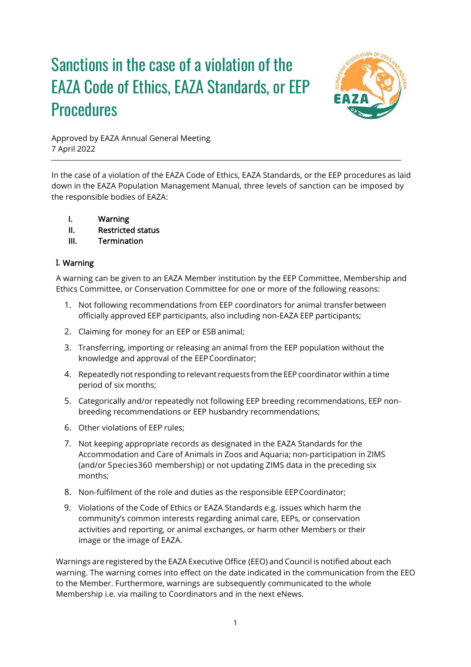# Sanctions in the case of a violation of the EAZA Code of Ethics, EAZA Standards, or EEP **Procedures**



Approved by EAZA Annual General Meeting 7 April 2022

In the case of a violation of the EAZA Code of Ethics, EAZA Standards, or the EEP procedures as laid down in the EAZA Population Management Manual, three levels of sanction can be imposed by the responsible bodies of EAZA:

- I. Warning
- II. Restricted status
- III. Termination

### **I.** Warning

A warning can be given to an EAZA Member institution by the EEP Committee, Membership and Ethics Committee, or Conservation Committee for one or more of the following reasons:

- 1. Not following recommendations from EEP coordinators for animal transferbetween officially approved EEP participants, also including non‐EAZA EEP participants;
- 2. Claiming for money for an EEP or ESB animal;
- 3. Transferring, importing or releasing an animal from the EEP population without the knowledge and approval of the EEPCoordinator;
- 4. Repeatedlynot responding to relevant requests fromthe EEP coordinator within a time period of six months;
- 5. Categorically and/or repeatedly not following EEP breeding recommendations, EEP nonbreeding recommendations or EEP husbandry recommendations;
- 6. Other violations of EEP rules;
- 7. Not keeping appropriate records as designated in the EAZA Standards for the Accommodation and Care of Animals in Zoos and Aquaria; non‐participation in ZIMS (and/or Species360 membership) or not updating ZIMS data in the preceding six months;
- 8. Non-fulfilment of the role and duties as the responsible EEP Coordinator;
- 9. Violations of the Code of Ethics or EAZA Standards e.g. issues which harm the community's common interests regarding animal care, EEPs, or conservation activities and reporting, or animal exchanges, or harm other Members or their image or the image of EAZA.

Warnings are registered by the EAZA Executive Office (EEO) and Council is notified about each warning. The warning comes into effect on the date indicated in the communication from the EEO to the Member. Furthermore, warnings are subsequently communicated to the whole Membership i.e. via mailing to Coordinators and in the next eNews.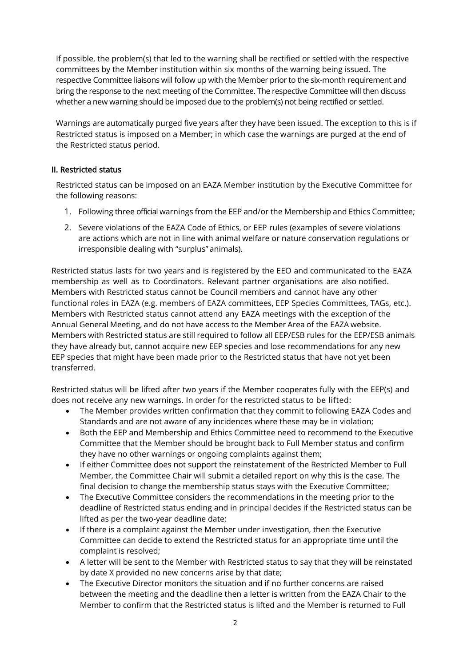If possible, the problem(s) that led to the warning shall be rectified or settled with the respective committees by the Member institution within six months of the warning being issued. The respective Committee liaisons will follow up with the Member prior to the six-month requirement and bring the response to the next meeting of the Committee. The respective Committee will then discuss whether a new warning should be imposed due to the problem(s) not being rectified or settled.

Warnings are automatically purged five years after they have been issued. The exception to this is if Restricted status is imposed on a Member; in which case the warnings are purged at the end of the Restricted status period.

### II. Restricted status

Restricted status can be imposed on an EAZA Member institution by the Executive Committee for the following reasons:

- 1. Following three official warnings from the EEP and/or the Membership and Ethics Committee;
- 2. Severe violations of the EAZA Code of Ethics, or EEP rules (examples of severe violations are actions which are not in line with animal welfare or nature conservation regulations or irresponsible dealing with "surplus" animals).

Restricted status lasts for two years and is registered by the EEO and communicated to the EAZA membership as well as to Coordinators. Relevant partner organisations are also notified. Members with Restricted status cannot be Council members and cannot have any other functional roles in EAZA (e.g. members of EAZA committees, EEP Species Committees, TAGs, etc.). Members with Restricted status cannot attend any EAZA meetings with the exception of the Annual General Meeting, and do not have access to the Member Area of the EAZA website. Members with Restricted status are still required to follow all EEP/ESB rules for the EEP/ESB animals they have already but, cannot acquire new EEP species and lose recommendations for any new EEP species that might have been made prior to the Restricted status that have not yet been transferred.

Restricted status will be lifted after two years if the Member cooperates fully with the EEP(s) and does not receive any new warnings. In order for the restricted status to be lifted:

- The Member provides written confirmation that they commit to following EAZA Codes and Standards and are not aware of any incidences where these may be in violation;
- Both the EEP and Membership and Ethics Committee need to recommend to the Executive Committee that the Member should be brought back to Full Member status and confirm they have no other warnings or ongoing complaints against them;
- If either Committee does not support the reinstatement of the Restricted Member to Full Member, the Committee Chair will submit a detailed report on why this is the case. The final decision to change the membership status stays with the Executive Committee;
- The Executive Committee considers the recommendations in the meeting prior to the deadline of Restricted status ending and in principal decides if the Restricted status can be lifted as per the two-year deadline date;
- If there is a complaint against the Member under investigation, then the Executive Committee can decide to extend the Restricted status for an appropriate time until the complaint is resolved;
- A letter will be sent to the Member with Restricted status to say that they will be reinstated by date X provided no new concerns arise by that date;
- The Executive Director monitors the situation and if no further concerns are raised between the meeting and the deadline then a letter is written from the EAZA Chair to the Member to confirm that the Restricted status is lifted and the Member is returned to Full